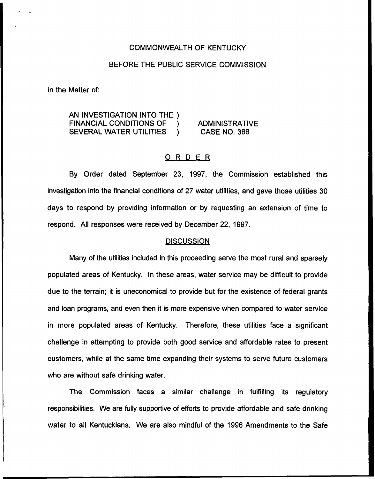# COMMONWEALTH OF KENTUCKY

# BEFORE THE PUBLIC SERVICE COMMISSION

ln the Matter of:

AN INVESTIGATION INTO THE )<br>FINANCIAL CONDITIONS OF ) FINANCIAL CONDITIONS OF )<br>SEVERAL WATER UTILITIES SEVERAL WATER UTILITIES

ADMINISTRATIVE CASE NO. 366

# ORDER

By Order dated September 23, 1997, the Commission established this investigation into the financial conditions of 27 water utilities, and gave those utilities 30 days to respond by providing information or by requesting an extension of time to respond. All responses were received by December 22, 1997.

# **DISCUSSION**

Many of the utilities included in this proceeding serve the most rural and sparsely populated areas of Kentucky. In these areas, water service may be difficult to provide due to the terrain; it is uneconomical to provide but for the existence of federal grants and loan programs, and even then it is more expensive when compared to water service in more populated areas of Kentucky. Therefore, these utilities face a significant challenge in attempting to provide both good service and affordable rates to present customers, while at the same time expanding their systems to serve future customers who are without safe drinking water.

The Commission faces a similar challenge in fulfilling its regulatory responsibilities. We are fully supportive of efforts to provide affordable and safe drinking water to all Kentuckians. We are also mindful of the 1996 Amendments to the Safe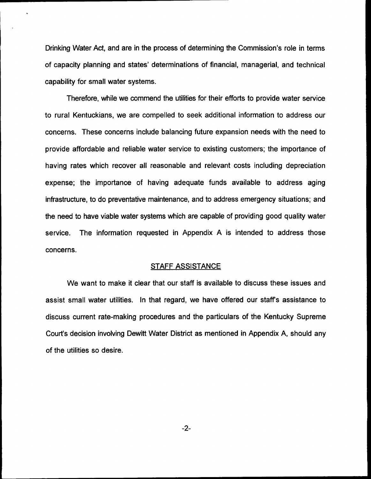Drinking Water Act, and are in the process of determining the Commission's role in terms of capacity planning and states' determinations of financial, managerial, and technical capability for small water systems.

Therefore, while we commend the utilities for their efforts to provide water service to rural Kentuckians, we are compelled to seek additional information to address our concerns. These concerns include balancing future expansion needs with the need to provide affordable and reliable water service to existing customers; the importance of having rates which recover all reasonable and relevant costs including depreciation expense; the importance of having adequate funds available to address aging infrastructure, to do preventative maintenance, and to address emergency situations; and the need to have viable water systems which are capable of providing good quality water service. The information requested in Appendix A is intended to address those concerns.

# **STAFF ASSISTANCE**

We want to make it clear that our staff is available to discuss these issues and assist small water utilities. In that regard, we have offered our staff's assistance to discuss current rate-making procedures and the particulars of the Kentucky Supreme Court's decision involving Dewitt Water District as mentioned in Appendix A, should any of the utilities so desire.

 $-2-$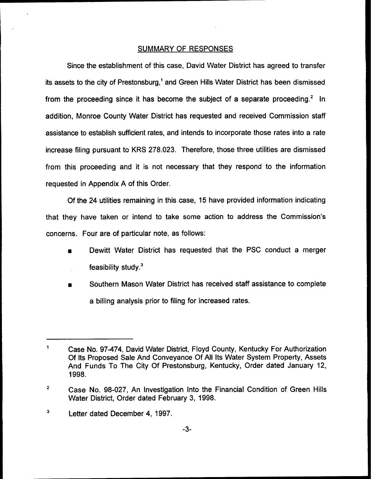# SUMMARY OF RESPONSES

Since the establishment of this case, David Water District has agreed to transfer its assets to the city of Prestonsburg,<sup>1</sup> and Green Hills Water District has been dismissed from the proceeding since it has become the subject of a separate proceeding. $2 \text{ In}$ addition, Monroe County Water District has requested and received Commission staff assistance to establish sufficient rates, and intends to incorporate those rates into a rate increase filing pursuant to KRS 278.023. Therefore, those three utilities are dismissed from this proceeding and it is not necessary that they respond to the information requested in Appendix A of this Order.

Of the 24 utilities remaining in this case, 15 have provided information indicating that they have taken or intend to take some action to address the Commission's concerns. Four are of particular note, as follows:

- Dewitt Water District has requested that the PSC conduct a merger feasibility study.'
- Southern Mason Water District has received staff assistance to complete a billing analysis prior to filing for increased rates.

 $\overline{\mathbf{3}}$ Letter dated December 4, 1997.

 $\mathbf{1}$ Case No. 97-474, David Water District, Floyd County, Kentucky For Authorization Of Its Proposed Sale And Conveyance Of All Its Water System Property, Assets And Funds To The City Of Prestonsburg, Kentucky, Order dated January 12, 1998.

 $\mathbf{2}$ Case No. 98-027, An Investigation Into the Financial Condition of Green Hills Water District, Order dated February 3, 1998.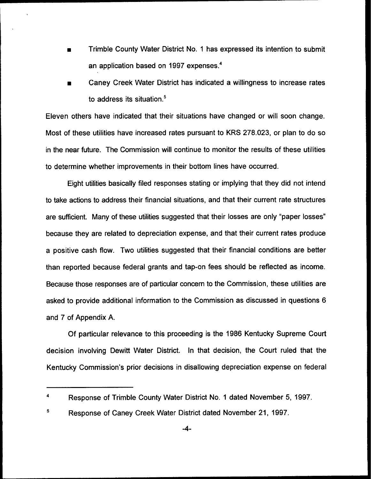- Trimble County Water District No. <sup>1</sup> has expressed its intention to submit an application based on 1997 expenses.<sup>4</sup>
- Caney Creek Water District has indicated a willingness to increase rates to address its situation.<sup>5</sup>

Eleven others have indicated that their situations have changed or will soon change. Most of these utilities have increased rates pursuant to KRS 278.023, or plan to do so in the near future. The Commission will continue to monitor the results of these utilities to determine whether improvements in their bottom lines have occurred.

Eight utilities basically filed responses stating or implying that they did not intend to take actions to address their financial situations, and that their current rate structures are sufficient. Many of these utilities suggested that their losses are only "paper losses" because they are related to depreciation expense, and that their current rates produce a positive cash flow. Two utilities suggested that their financial conditions are better than reported because federal grants and tap-on fees should be reflected as income. Because those responses are of particular concern to the Commission, these utilities are asked to provide additional information to the Commission as discussed in questions 6 and 7 of Appendix A.

Of particular relevance to this proceeding is the 1986 Kentucky Supreme Court decision involving Dewitt Water District. In that decision, the Court ruled that the Kentucky Commission's prior decisions in disallowing depreciation expense on federal

 $\overline{\mathbf{4}}$ Response of Trimble County Water District No. <sup>1</sup> dated November 5, 1997.

<sup>5</sup> Response of Caney Creek Water District dated November 21, 1997.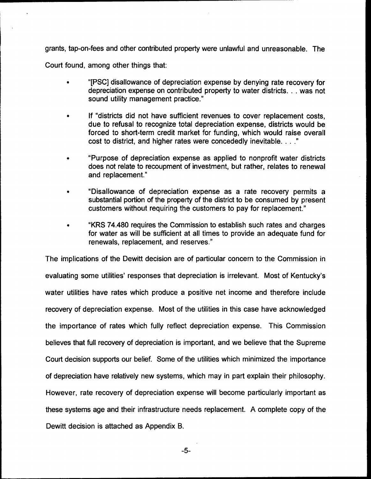grants, tap-on-fees and other contributed property were unlawful and unreasonable. The Court found, among other things that:

<sup>~</sup> "[PSC]disallowance of depreciation expense by denying rate recovery for depreciation expense on contributed property to water districts... was not sound utility management practice."

- If "districts did not have sufficient revenues to cover replacement costs, due to refusal to recognize total depreciation expense, districts would be forced to short-term credit market for funding, which would raise overall cost to district, and higher rates were concededly inevitable...."
- <sup>~</sup> "Purpose of depreciation expense as applied to nonprofit water districts does not relate to recoupment of investment, but rather, relates to renewal and replacement."
- <sup>~</sup> "Disallowance of depreciation expense as a rate recovery permits a substantial portion of the property of the district to be consumed by present customers without requiring the customers to pay for replacement."
- <sup>~</sup> "KRS 74.480 requires the Commission to establish such rates and charges for water as will be sufficient at all times to provide an adequate fund for renewals, replacement, and reserves."

The implications of the Dewitt decision are of particular concern to the Commission in evaluating some utilities' responses that depreciation is irrelevant. Most of Kentucky's water utilities have rates which produce a positive net income and therefore include recovery of depreciation expense. Most of the utilities in this case have acknowledged the importance of rates which fully reflect depreciation expense. This Commission believes that full recovery of depreciation is important, and we believe that the Supreme Court decision supports our belief. Some of the utilities which minimized the importance of depreciation have relatively new systems, which may in part explain their philosophy. However, rate recovery of depreciation expense will become particularly important as these systems age and their infrastructure needs replacement. A complete copy of the Dewitt decision is attached as Appendix B.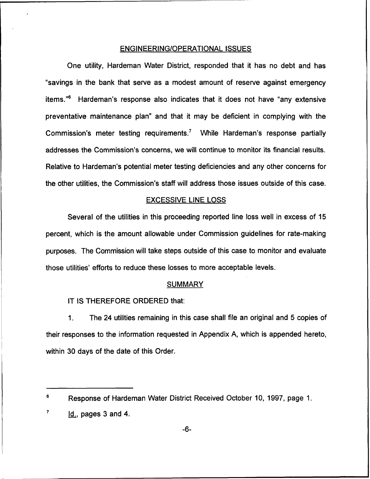# ENGINEERING/OPERATIONAL ISSUES

One utility, Hardeman Water District, responded that it has no debt and has "savings in the bank that serve as a modest amount of reserve against emergency items."<sup>6</sup> Hardeman's response also indicates that it does not have "any extensive preventative maintenance plan" and that it may be deficient in complying with the Commission's meter testing requirements.<sup>7</sup> While Hardeman's response partially addresses the Commission's concerns, we will continue to monitor its financial results. Relative to Hardeman's potential meter testing deficiencies and any other concerns for the other utilities, the Commission's staff will address those issues outside of this case.

## EXCESSIVE LINE LOSS

Several of the utilities in this proceeding reported line loss well in excess of 15 percent, which is the amount allowable under Commission guidelines for rate-making purposes. The Commission will take steps outside of this case to monitor and evaluate those utilities' efforts to reduce these losses to more acceptable levels.

## SUMMARY

# IT IS THEREFORE ORDERED that:

The 24 utilities remaining in this case shall file an original and 5 copies of  $\mathbf{1}$ . their responses to the information requested in Appendix A, which is appended hereto, within 30 days of the date of this Order.

<sup>6</sup> Response of Hardeman Water District Received October 10, 1997, page 1.

 $\overline{\mathbf{7}}$ Id., pages 3 and 4.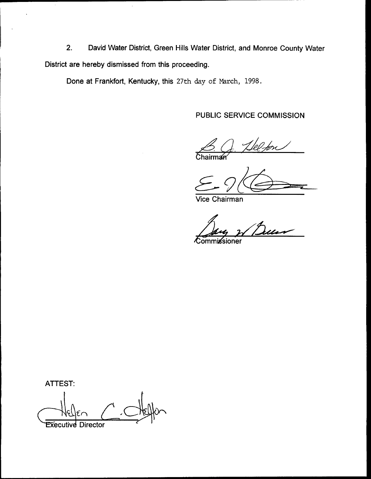2. David Water District, Green Hills Water District, and Monroe County Water District are hereby dismissed from this proceeding.

Done at Frankfort, Kentucky, this 27th day of March, 1998.

PUBLIC SERVICE COMMISSION

 $\mathcal{L} \subset \mathbb{R}^{n \times 2}$ 

rman

Vice Chairman

**Commissioner** 

ATTEST: **Executive Director**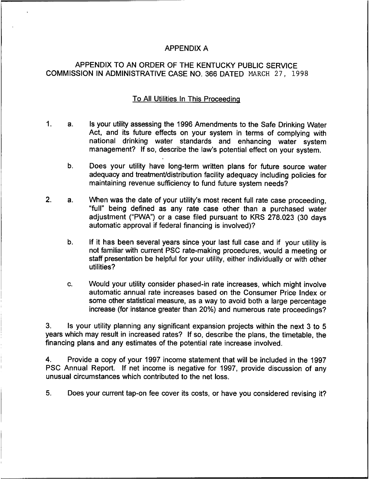# APPENDIX A

# APPENDIX TO AN ORDER OF THE KENTUCKY PUBLIC SERVICE COMMISSION IN ADMINISTRATIVE CASE NO. 366 DATED NARCH 27, 1998

# To All Utilities In This Proceedina

- $1<sub>1</sub>$ Is your utility assessing the 1996 Amendments to the Safe Drinking Water  $a<sub>1</sub>$ Act, and its future effects on your system in terms of complying with national drinking water standards and enhancing water system management? If so, describe the law's potential effect on your system.
	- b. Does your utility have long-term written plans for future source water adequacy and treatment/distribution facility adequacy including policies for maintaining revenue sufficiency to fund future system needs'?
- $2<sub>1</sub>$ When was the date of your utility's most recent full rate case proceeding,  $a<sub>1</sub>$ "full" being defined as any rate case other than a purchased water adjustment ("PWA") or a case filed pursuant to KRS 278.023 (30 days automatic approval if federal financing is involved)?
	- b. If it has been several years since your last full case and if your utility is not familiar with current PSC rate-making procedures, would a meeting or staff presentation be helpful for your utility, either individually or with other utilities?
	- c. Would your utility consider phased-in rate increases, which might involve automatic annual rate increases based on the Consumer Price Index or some other statistical measure, as a way to avoid both a large percentage increase (for instance greater than 20%) and numerous rate proceedings?

3. Is your utility planning any significant expansion projects within the next 3 to 5 years which may result in increased rates? If so, describe the plans, the timetable, the financing plans and any estimates of the potential rate increase involved.

4. Provide a copy of your 1997 income statement that will be included in the 1997 PSC Annual Report. If net income is negative for 1997, provide discussion of any unusual circumstances which contributed to the net loss.

5. Does your current tap-on fee cover its costs, or have you considered revising it?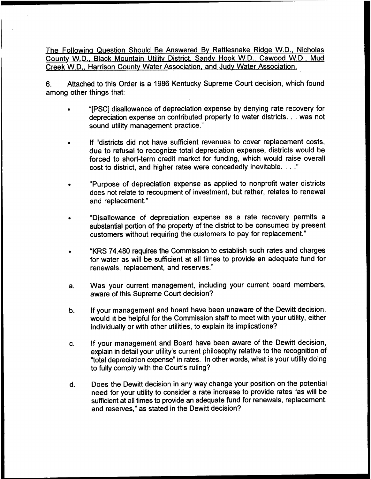The Following Question Should Be Answered By Rattlesnake Ridge W.D., Nicholas County W.D., Black Mountain Utility District, Sandy Hook W.D., Cawood W.D., Mud Creek W.D.. Harrison Countv Water Association. and Judv Water Association.

6. Attached to this Order is a 1986 Kentucky Supreme Court decision, which found among other things that:

- "[PSC] disallowance of depreciation expense by denying rate recovery for depreciation expense on contributed property to water districts... was not sound utility management practice."
- If "districts did not have sufficient revenues to cover replacement costs, due to refusal to recognize total depreciation expense, districts would be forced to short-term credit market for funding, which would raise overall cost to district, and higher rates were concededly inevitable...."
- "Purpose of depreciation expense as applied to nonprofit water districts does not relate to recoupment of investment, but rather, relates to renewal and replacement."
- "Disallowance of depreciation expense as a rate recovery permits a substantial portion of the property of the district to be consumed by present customers without requiring the customers to pay for replacement."
- "KRS 74.480 requires the Commission to establish such rates and charges for water as will be sufficient at all times to provide an adequate fund for renewals, replacement, and reserves."
- Was your current management, including your current board members,  $a<sub>r</sub>$ aware of this Supreme Court decision?
- If your management and board have been unaware of the Dewitt decision,  $\mathbf b$ . would it be helpful for the Commission staff to meet with your utility, either individually or with other utilities, to explain its implications?
- If your management and Board have been aware of the Dewitt decision, C. explain in detail your utility's current philosophy relative to the recognition of 'total depreciation expense" in rates. In other words, what is your utility doing to fully comply with the Court's ruling?
- Does the Dewitt decision in any way change your position on the potential  $\mathbf{d}$ . need for your utility to consider a rate increase to provide rates "as will be sufficient at all times to provide an adequate fund for renewals, replacement, and reserves," as stated in the Dewitt decision?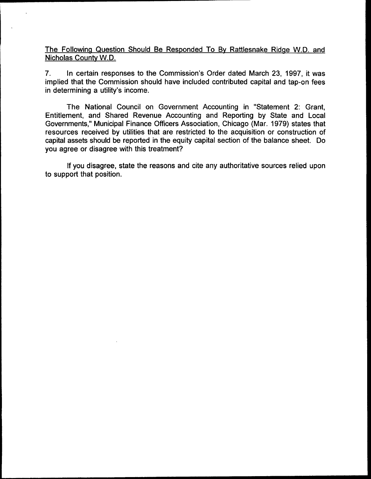The Following Question Should Be Responded To By Rattlesnake Ridge W.D. and Nicholas County W.D.

7. In certain responses to the Commission's Order dated March 23, 1997, it was implied that the Commission should have included contributed capital and tap-on fees in determining a utility's income.

The National Council on Government Accounting in "Statement 2: Grant, Entitlement, and Shared Revenue Accounting and Reporting by State and Local Governments," Municipal Finance Officers Association, Chicago (Mar. 1979) states that resources received by utilities that are restricted to the acquisition or construction of capital assets should be reported in the equity capital section of the balance sheet. Do you agree or disagree with this treatment?

If you disagree, state the reasons and cite any authoritative sources relied upon to support that position.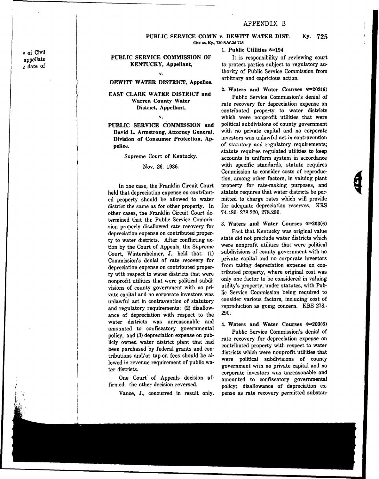# APPENDIX B

PUBLIC SERVICE COM'N v. DEWITT WATER DIST. Ky. 725 Cite as, Ky., 720 S.W.2d 725

## 1. Public Utilities e 194

PUBLIC SERVICE COMMISSION OF It is responsibility of reviewing court KENTUCKY, Appellant, to protect parties subject to regulatory authority of Public Service Commission from arbitrary and capricious action.

#### 2. Waters and Water Courses  $\infty 203(6)$

Public Service Commission's denial of rate recovery for depreciation expense on contributed property to water districts which were nonprofit utilities that were political subdivisions of county government with no private capital and no corporate investors was unlawful act in contravention of statutory and regulatory requirements; statute requires regulated utilities to keep accounts in uniform system in accordance with specific standards, statute requires Commission to consider costs of reproduction, among other factors, in valuing plant property for rate-making purposes, and statute requires that water districts be permitted to charge rates which will provide for adequate depreciation reserves. KRS 74.480, 278.220, 278.290.

3. Waters and Water Courses  $\approx 203(6)$ 

Fact that Kentucky was original value state did not preclude water districts which were nonprofit utilities that were political subdivisions of county government with no private capital and no corporate investors from taking depreciation expense on contributed property, where original cost was only one factor to be considered in valuing utility's property, under statutes, with Public Service Commission being required to consider various factors, including cost of reproduction as going concern. KRS 278.- 290.

## 4. Waters and Water Courses  $\epsilon$  203(6)

Public Service Commission's denial of rate recovery for depreciation expense on contributed property with respect to water districts which were nonprofit utilities that were political subdivisions of county government with no private capital and no corporate investors was unreasonable and amounted to confiscatory governmental policy; disallowance of depreciation expense as rate recovery permitted substan-

s of Civil appellate e date of

#### v.

# DEWITT WATER DISTRICT, Appellee.

## EAST CLARK WATER DISTRICT and Warren County Water District, Appellant,

v.

## PUBLIC SERVICE COMMISSION and David L. Armstrong, Attorney General, Division of Consumer Protection, Appellee.

Supreme Court of Kentucky.

### Nov. 26, 1986.

In one case, the Franklin Circuit Court held that depreciation expense on contributed property should be allowed to water district the same as for other property. In other cases, the Franklin Circuit Court determined that the Public Service Commission properly disallowed rate recovery for depreciation expense on contributed property to water districts. After conflicting action by the Court of Appeals, the Supreme Court, Wintersheimer, J., held that: (1) Commission's denial of rate recovery for depreciation expense on contributed property with respect to water districts that were nonprofit utilities that were political subdivisions of county government with no private capital and no corporate investors was unlawful act in contravention of statutory and regulatory requirements; (2) disallowance of depreciation with respect to the water districts was unreasonable and amounted to confiscatory governmental policy; and (3) depreciation expense on publicly owned water district plant that had been purchased by federal grants and contributions and/or tap-on fees should be allowed in revenue requirement of public water districts.

One Court of Appeals decision affirmed; the other decision reversed.

Vance, J., concurred in result only.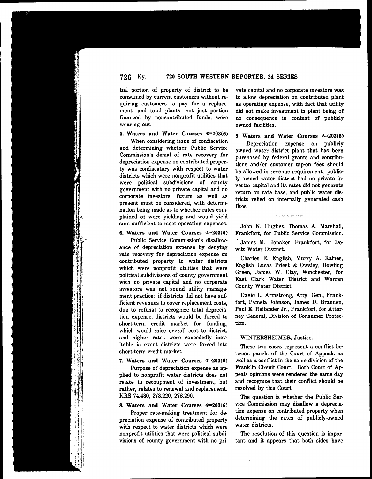tial portion of property of district to be consumed by current customers without requiring customers to pay for a replacement, and total plants, not just portion financed by noncontributed funds, were wearing out.

#### 5. Waters and Water Courses  $\approx 203(6)$

When considering issue of confiscation and determining whether Public Service Commission's denial of rate recovery for depreciation expense on contributed property was confiscatory with respect to water districts which were nonprofit utilities that were political subdivisions of county government with no private capital and no corporate investors, future as well as present must be considered, with determination being made as to whether rates complained of were yielding and would yield sum sufficient to meet operating expenses.

#### 6. Waters and Water Courses  $\approx 203(6)$

Public Service Commission's disallowance of depreciation expense by denying rate recovery for depreciation expense on contributed property to water districts which were nonprofit utilities that were political subdivisions of county government with no private capital and no corporate investors was not sound utility management practice; if districts did not have sufficient revenues to cover replacement costs, due to refusal to recognize total depreciation expense, districts would be forced to short-term credit market for funding, which would raise overall cost to district, and higher rates were concededly inevitable in event districts were forced into short-term credit market.

### 7. Waters and Water Courses  $\approx 203(6)$

Purpose of depreciation expense as applied to nonprofit water districts does not relate to recoupment of investment, but rather, relates to renewal and replacement. KRS 74.480, 278.220, 278.290.

## 8. Waters and Water Courses  $\infty 203(6)$

Proper rate-making treatment for depreciation expense of contributed property with respect to water districts which were nonprofit utilities that were political subdivisions of county government with no private capital and no corporate investors was to allow depreciation on contributed plant as operating expense, with fact that utility did not make investment in plant being of no consequence in context of publicly owned facilities.

#### 9. Waters and Water Courses  $\infty$  203(6)

Depreciation expense on publicly owned water district plant that has been purchased by federal grants and contributions and/or customer tap-on fees should be allowed in revenue requirement; publicly owned water district had no private investor capital and its rates did not generate return on rate base, and public water districts relied on internally generated cash flow.

John N. Hughes, Thomas A. Marshall, Frankfort, for Public Service Commission.

James M. Honaker, Frankfort, for Dewitt Water District.

Charles E, English, Murry A. Raines, English Lucas Priest & Owsley, Bowling Green, James W. Clay, Winchester, for East Clark Water District and Warren County Water District.

David L. Armstrong, Atty. Gen., Frankfort, Pamela Johnson, James D. Brannen, Paul E. Reilander Jr,, Frankfort, for Attorney General, Division of Consumer Protection.

#### WINTERSHEIMER, Justice.

These two cases represent a conflict between panels of the Court of Appeals as well as a conflict in the same division of the Franklin Circuit Court. Both Court of Appeals opinions were rendered the same day and recognize that their conflict should be resolved by this Court.

The question is whether the Public Service Commission may disallow a depreciation expense on contributed property when determining the rates of publicly-owned water districts.

The resolution of this question is important and it appears that both sides have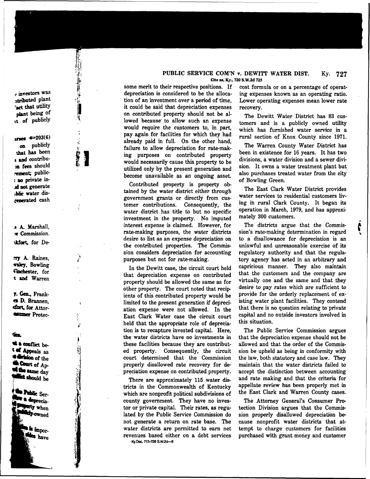e investors was atributed plant 'act that utility phat being of cs of publicly

的声源甚至

# arses  $\leftarrow 203(6)$

on publicly that has been s and contribu-<br>za fees should rement; public-<sup>1</sup> oo private inid not generate blic water discenerated cash

8 A Marshall, **e** Commission. %fort, for De-

ay A. Raines, ~, Bowling **«inchester**, for 4 and Warren

7. Gen., Frank-D. Brannen, cfort, for Attor-+slsssser Protec-

#### Śπ

a conflict be-**4 of Appeals** as the division of the wil the same day<br>**Willict should** be

\* Public Ser-<br>\* a deprecia-<br>Waty when

 $\frac{1}{2}$  impor-<br>Miles  $_{\rm{have}}$ 

#### Ky. 727 PUBLIC SERVICE CON'N v. DEWITT WATER DIST. Cite as, Ky., 720 S.W.2d 725

some merit to their respective positions. If depreciation is considered to be the allocation of an investment over a period of time, it could be said that depreciation expenses on contributed property should not be allowed because to allow such an expense would require the customers to, in part, pay again for facilities for which they had already paid in full. On the other hand, failure to allow depreciation for rate-making purposes on contributed property would necessarily cause this property to be utilized only by the present generation and become unavailable as an ongoing asset.

Contributed property is property obtained by the water district either through government grants or directly from customer contributions. Consequently, the water district has title to but no specific investment in the property. No imputed interest expense is claimed. However, for rate-making purposes, the water districts desire to list as an expense depreciation on the contributed properties. The Commission considers depreciation for accounting purposes but not for rate-making.

In the Dewitt case, the circuit court held that depreciation expense on contributed property should be allowed the same as for other property. The court noted that recipients of this contributed property would be limited to the present generation if depreciation expense were not allowed. In the East Clark Water case the circuit court held that the appropriate role of depreciation is to recapture invested capital. Here, the water districts have no investments in these facilities because they are contributed property. Consequently, the circuit court determined that the Commission properly disallowed rate recovery for depreciation expense on contributed property.

There are approximately 115 water districts in the Commonwealth of Kentucky which are nonprofit political subdivisions of county government. They have no investor or private capital. Their rates, as regulated by the Public Service Commission do not generate a return on rate base. The water districts are permitted to earn net revenues based either on a debt service Ky.Dec. 717-726 S.W.2d-8

cost formula or on a percentage of operat ing expenses known as an operating ratio. Lower operating expenses mean lower rate recovery.

The Dewitt Water District has 83 customers and is a publicly owned utility which has furnished water service in a rural section of Knox County since 1971.

The Warren County Water District has been in existence for 16 years. It has two divisions, a water division and a sewer division. It owns a water treatment plant but also purchases treated water from the city of Bowling Green.

The East Clark Water District provides water services to residential customers living in rural Clark County. It began its operation in March, 1979, and has approximately 300 customers.

The districts argue that the Commission's rate-making determination in regard to a disallowance for depreciation is an unlawful and unreasonable exercise of its regulatory authority and that the regulatory agency has acted in an arbitrary and capricious manner. They also maintain that the customers and the company are virtually one and the same and that they desire to pay rates which are sufficient to provide for the orderly replacement of existing water plant facilities. They contend that there is no question relating to private capital and no outside investors involved in this situation.

The Public Service Commission argues that the depreciation expense should not be allowed and that the order of the Commission be upheld as being in conformity with the law, both statutory and case law. They maintain that the water districts failed to accept the distinction between accounting and rate making and that the criteria for appellate review has been properly met in the East Clark and Warren County cases.

The Attorney General's Consumer Protection Division argues that the Commission properly disallowed depreciation because nonprofit water districts that attempt to charge customers for facilities purchased with grant money and customer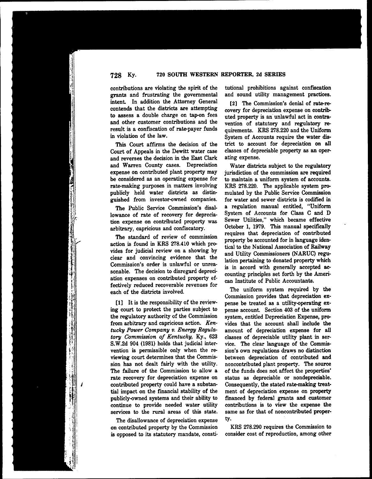contributions are violating the spirit of the grants and frustrating the governmental intent. In addition the Attorney General contends that the districts are attempting to assess a double charge on tap-on fees and other customer contributions and the result is a confiscation of rate-payer funds in violation of the law.

This Court affirms the decision of the Court of Appeals in the Dewitt mater case and reverses the decision in the East Clark and Warren County cases. Depreciation expense on contributed plant property may be considered as an operating expense for rate-making purposes in matters involving publicly held water districts as distinguished from investor-owned companies.

The Public Service Commission's disallowance of rate of recovery for depreciation expense on contributed property was arbitrary, capricious and confiscatory.

The standard of review of commission action is found in KRS 278.410 which provides for judicial review on a showing by clear and convincing evidence that the Commission's order is unlawful or unreasonable. The decision to disregard depreciation expenses on contributed property effectively reduced recoverable revenues for each of the districts involved.

II] It is the responsibility of the reviewing court to protect the parties subject to the regulatory authority of the Commission from arbitrary and capricious action. Kentucky Power Company v. Energy Regulatory Commission of Kentucky, Ky., 623 S.W.2d 904 (1981) holds that judicial intervention is permissible only when the reviewing court determines that the Commission has not dealt fairly with the utility. The failure of the Commission to allow a rate recovery for depreciation expense on contributed property could have a substantial impact on the financial stability of the publicly-owned systems and their ability to continue to provide needed water utility services to the rural areas of this state.

The disallowance of depreciation expense on contributed property by the Commission is opposed to its statutory mandate, constitutional prohibitions against confiscation and sound utility management practices.

[2] The Commission's denial of rate-recovery for depreciation expense on contributed property is an unlawful act in contravention of statutory and regulatory requirements. KRS 278.220 and the Uniform System of Accounts require the water district to account for depreciation on all classes of depreciable property as an operating expense.

Water districts subject to the regulatory jurisdiction of the commission are required to maintain a uniform system of accounts. KRS 278.220. The applicable system promulated by the Public Service Commission for water and sewer districts is codified in a regulation manual entitled, "Uniform System of Accounts for Class C and D Sewer Utilities," which became effective October 1, 1979. This manual specificall requires that depreciation of contributed property be accounted for in language identical to the National Association of Railway and Utility Commissioners (NARUC) regulation pertaining to donated property which is in accord with generally accepted accounting principles set forth by the American Institute of Public Accountants.

The uniform system required by the Commission provides that depreciation expense be treated as a utility-operating expense account. Section 403 of the uniform system, entitled Depreciation Expense, provides that the account shall include the amount of depreciation expense for all classes of depreciable utility plant in service. The clear language of the Commission's own regulations draws no distinction between depreciation of contributed and noncontributed plant property. The source of the funds does not affect the as depreciable or nondepreciabl Consequently, the stated rate-making treat ment of depreciation expense on property financed by federal grants and customer contributions is to view the expense the same as for that of noncontributed property.

KRS 278.290 requires the Commission to consider cost of reproduction, among other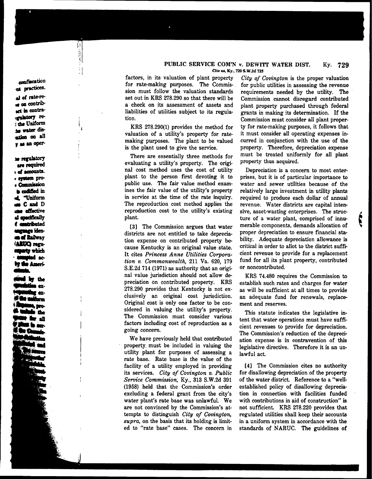#### PUBLIC SERVICE COM'N v. DEWITT WATER DIST. Ky. 729 Cite as, Ky., 720 S.W2d 725

14

 $\epsilon$ 

Ļί

~ confiscation<br>~ ga practices.<br>al of rate-re-+ oo اه له ~g la coatra- ~Iatory re. : the Uniform witch on all aa an oper

us regulatory are required s ef accounts.<br>e system pro-<br>e Commission **s** codified in "Uniform mCand D san effective<br>al specifically<br>d contributed uncunce idenn **of Railway** (ARUC) regu<br>superty which<br>sumpted ac mupted ac-<br>Mae Ameri

by the ext ex-ب<del>رج الب</del>ينية

factors, in its valuation of plant property  $City$  of Covington is the proper valuation for rate-making purposes. The Commis- for public utilities in assessing the revenue for rate-making purposes. The Commis- for public utilities in assessing the revenue<br>sion must follow the valuation standards requirements needed by the utility. The sion must follow the valuation standards requirements needed by the utility. The set out in KRS 278.290 so that there will be Commission cannot disregard contributed a check on its assessment of assets and plant property purchased through federal liabilities of utilities subject to its regulation.

KRS 278.290(1) provides the method for valuation of a utility's property for ratemaking purposes. The plant to be valued curred in conjunction with the use of the is the plant used to give the service. property. Therefore, depreciation expense is the plant used to give the service.

evaluating a utility's property. The origi- Property thus acquired nal cost method uses the cost of utility plant to the person first devoting it to public use. The fair value method examines the fair value of the utility's property in service at the time of the rate inquiry. The reproduction cost method applies the reproduction cost to the utility's existing plant.

districts are not entitled to take deprecia-<br>tion expense on contributed property be-<br>bility. Adequate depreciation allowance is tion expense on contributed property because Kentucky is an original value state. It cites Princess Anne Utilities Corporation v. Commonwealth, 211 Va. 520, 179 S.E.2d 714 (1971) as authority that an origi- or noncontributed. nal value jurisdiction should not allow de-<br>
RRS 74.480 requires the Commission to<br>
preciation on contributed property. KRS establish such rates and charges for water preciation on contributed property. KRS establish such rates and charges for water 278.290 provides that Kentucky is not ex-<br>278.290 provides that Kentucky is not ex- as will be sufficient at all times to provide elusively an original cost jurisdiction. an adequate fund for renewals, replace-Original cost is only one factor to be con- ment and reserves.<br>sidered in valuing the utility's property. sidered in valuing the utility's property. This statute indicates the legislative in-<br>The Commission must consider various The Commission must consider various tent that water operations must have suffi-<br>factors including cost of reproduction as a structure was the problem in the state of the state of the state of the state of the state of th

We have previously held that contributed ation expense is in contravention of this property must be included in valuing the logislative directive. Therefore it is an unutility plant for purposes of assessing a rate base, Rate base is the value of the facility of a utility employed in providin its services. City of Covington v. Public Service Commission, Ky., 818 S.W.2d 391 (1958) held that the Commission's order excluding a federal grant from the city' water plant's rate base was unlawful. We are not convinced by the Commission's attempts to distinguish City of Covington,  $supra$ , on the basis that its holding is limited to "rate base" cases. The concern in

grants in making its determination. If the Commission must consider all plant property for rate-making purposes, it follows that it must consider all operating expenses in-There are essentially three methods for must be treated uniformly for all plant relation a utility's property. The original property thus acquired.

prises, but it is of particular importance to water and sewer utilities because of the relatively large investment in utility plants required to produce each dollar of annual revenue. Water districts are capital intensive, asset-wasting enterprises. The structure of a water plant, comprised of innucritical in order to allot to the district sufficient revenue to provide for a replacement fund for all its plant property, contributed Depreciation is a concern to most enter-[3] The Commission argues that water merable components, demands allocation of

as will be sufficient at all times to provide

cient revenues to provide for going concern.<br>The Commission's reduction of the depreci-<br>We have previously held that contributed ation expense is in contravention of this legislative directive. Therefore it is an un-<br>lawful act.

> [4] The Commission cites no authority for disallowing depreciation of the property of the water district. Reference to a "wellestablished policy of disallowing depreciation in connection with facilities funded with contributions in aid of construction" is not sufficient. KRS 278.220 provides that regulated utilities shall keep their accounts in a uniform system in accordance with the standards of NARUC. The guidelines of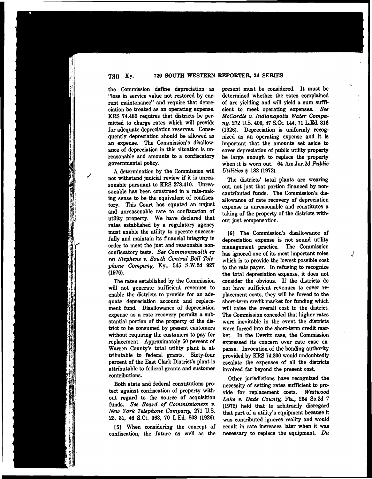the Commission define depreciation as "loss in service value not restored by current maintenance" and require that depreciation be treated as an operating expense. KRS 74.480 requires that districts be permitted to charge rates which will provide for adequate depreciation reserves. Consequently depreciation should be allowed as an expense. The Commission's disallowance of depreciation in this situation is unreasonable and amounts to a confiscatory governmental policy.

A determination by the Commission will not withstand judicial review if it is unreasonable pursuant to KRS 278.410. Unreasonable has been construed in a rate-making sense to be the equivalent of confiscatory. This Court has equated an unjust and unreasonable rate to confiscation of utility property. We have declared that rates established by a regulatory agency must enable the utility to operate successfully and maintain its financial integrity in order to meet the just and reasonable nonconfiscatory tests. See Commonwealth ex rel Stephens v. South Central Bell Telephone Company, Ky., 545 S.W.2d 927 (1976).

The rates established by the Commission will not generate sufficient revenues to enable the districts to provide for an adequate depreciation account and replacement fund. Disallowance of depreciation expense as a rate recovery permits a substantial portion of the property of the district to be consumed by present customers without requiring the customers to pay for replacement. Approximately 50 percent of Warren County's total utility plant is attributable to federal grants. Sixty-four percent of the East Clark District's plant is attributable to federal grants and customer contributions.

Both state and federal constitutions protect against confiscation of property without regard to the source of acquisition funds. See Board of Commissioners v. New York Telephone Company, 271 U.S. 23, 31, 46 S.Ct. 863, 70 LEd. 808 (1926).

[5] When considering the concept of confiscation, the future as well as the

present must be considered. It must be determined whether the rates complained of are yielding and will yield a sum sufficient to meet operating expenses. See NcCardle v. Indianapolis Water Company, 272 U.S. 400, 47 S.Ct. 144, 71 LEd. 816 (1926). Depreciation is uniformly recognized as an operating expense and it is important that the amounts set aside to cover depreciation of public utility property be large enough to replace the property when it is worn out. 64 Am.Jur.2d Public Utilities \$ 182 (1972).

The districts' total plants are wearing out, not just that portion financed by noncontributed funds. The Commission's disallowance of rate recovery of depreciation expense is unreasonable and constitutes a taking of the property of the districts without just compensation.

[6] The Commission's disallowance of depreciation expense is not sound utility management practice. The Commission has ignored one of its most important roles which is to provide the lowest possible cost to the rate payer. In refusing to recognize the total depreciation expense, it does not consider the obvious. If the districts do not have sufficient revenues to cover replacement costs, they will be forced to the short-term credit market for funding which will raise the overall cost to the district. The Commission conceded that higher rates were inevitable in the event the districts were forced into the short-term credit mar. ket. In the Dewitt case, the Commission expressed its concern over rate case expense. Invocation of the bonding authority provided by KRS 74.800 would undoubtedly escalate the expenses of all the districts involved far beyond the present cost.

Other jurisdictions have recognized the necessity of setting rates sufficient to provide for replacement costs. Westwood Lake v. Dade County, Fla., 264 So.2d 7 (1972) held that to arbitrarily disregard that part of a utility's equipment because it was contributed ignores reality and would result in rate increases later when it was necessary to replace the equipment.  $Du$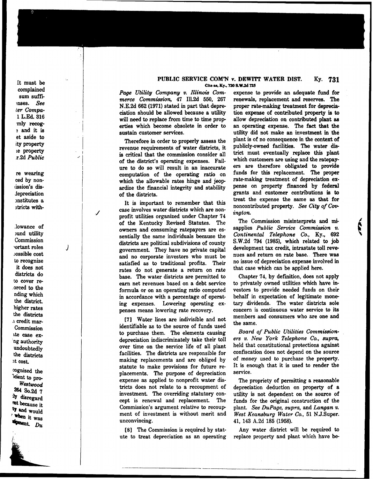It must be complained sum suffi- ~nses. See ter Compa- 1 L.Ed. 316 mly recog- . and it is et aside to ity property ie property .r.2d Public

re wearing ced by noniission's dis**depreciation** onstitutes a 3tricts with-

Í

J

.lowance of <sub>und</sub> utility Commission ~ortant roles possible cost to recognize it does not districts do to cover re- .orced to the nding which the district. higher rates the districts .i credit mar-Commission ate case exng authority undoubtedly the districts at cost.

~gnized the icient to pro-Westwood  $264$  So.2d 7 4 disregard ant because it when it was

## PUBLIC SERVICE COM'N v. DEWITT WATER DIST. Ky. Cite as, Ky., 720 S.W.2d 725

Page Utility Company v. Illinois Commerce Commission, 47 Ill.2d 550, 267 N.E.2d 662 (1971) stated in part that depreciation should be allowed because a utility will need to replace from time to time properties which become obsolete in order to sustain customer services.

Therefore in order to properly assess the revenue requirements of water districts, it is critical that the commission consider all of the district's operating expenses. Failure to do so will result in an inaccurate computation of the operating ratio on which the allowable rates hinge and jeopardize the financial integrity and stability of the districts.

It is important to remember that this case involves water districts which are nonprofit utilities organized under Chapter 74 of the Kentucky Revised Statutes. The owners and consuming ratepayers are essentially the same individuals because the districts are political subdivisions of county government. They have no private capital and no corporate investors who must be satisfied as to traditional profits. Their rates do not generate a return on rate base. The water districts are permitted to earn net revenues based on a debt service formula or on an operating ratio computed in accordance with a percentage of operating expenses. Lowering operating expenses means lowering rate recovery.

[7] Water lines are indivisible and not identifiable as to the source of funds used to purchase them. The elements causing depreciation indiscriminately take their toll over time on the service life of all plant facilities. The districts are responsible for making replacements and are obliged by statute to make provisions for future replacements. The purpose of depreciation expense as applied to nonprofit water districts does not relate to a recoupment of investment. The overriding statutory concept is renewal and replacement. The Commission's argument relative to recoupment of investment is without merit and unconvincing.

[8] The Commission is required by statute to treat depreciation as an operating

expense to provide an adequate fund for renewals, replacement and reserves. The proper rate-making treatment for depreciation expense of contributed property is to allow depreciation on contributed plant as an operating expense. The fact that the utility did not make an investment in the plant is of no consequence in the context of publicly-owned facilities. The water district must eventually replace this plant which customers are using and the ratepayers are therefore obligated to provide funds for this replacement. The proper rate-making treatment of depreciation expense on property financed by federal grants and customer contributions is to treat the expense the same as that for noncontributed property. See City of Covington.

The Commission misinterprets and misapplies Public Service Commission v. Continental Telephone Co., Ky., 692 S.W.2d 794 (1985), which related to job development tax credit, intrastate toll revenues and return on rate base.. There was no issue of depreciation expense involved in that case which can be applied here.

Chapter 74, by definition, does not apply to privately owned utilities which have investors to provide needed funds on their behalf in expectation of legitimate monetary dividends. The water districts sole concern is continuous water service to its members and consumers who are one and the same.

Board of Public Utilities Commission $ers$  v. New York Telephone Co., supra, held that constitutional protections against confiscation does not depend on the source of money used to purchase the property. It is enough that it is used to render the service.

The propriety of permitting a reasonabl depreciation deduction on property of a utility is not dependent on the source of funds for the original construction of the plant. See DuPage, supra, and Langon v. West Keansburg Water Co., 51 N J.Super. 41, 143 A.2d 185 (1958).

Any water district will be required to replace property and plant which have be-